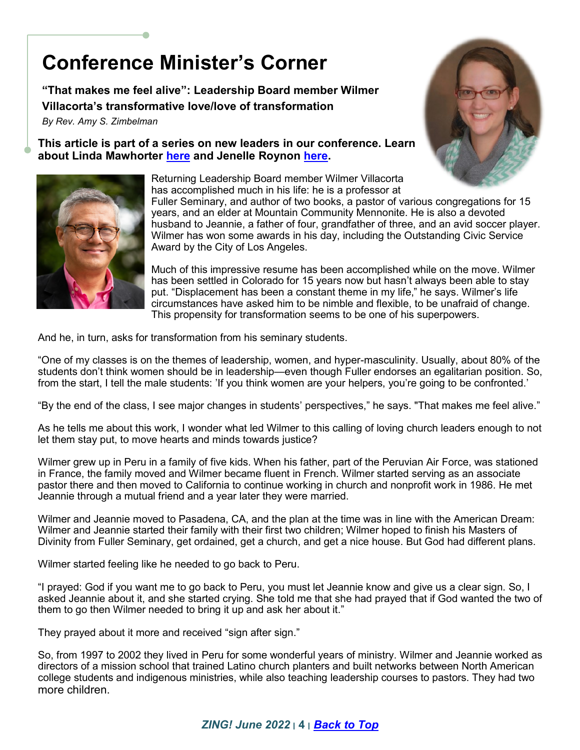## **Conference Minister's Corner**

**"That makes me feel alive": Leadership Board member Wilmer Villacorta's transformative love/love of transformation** *By Rev. Amy S. Zimbelman*

**This article is part of a series on new leaders in our conference. Learn about Linda Mawhorter [here](https://mountainstatesmc.org/wp-content/uploads/2022/05/CMC-Linda-Mawhorter.pdf) and Jenelle Roynon [here.](https://mountainstatesmc.org/wp-content/uploads/2022/04/About-Jenelle-Roynon.pdf)**



Returning Leadership Board member Wilmer Villacorta has accomplished much in his life: he is a professor at Fuller Seminary, and author of two books, a pastor of various congregations for 15 years, and an elder at Mountain Community Mennonite. He is also a devoted husband to Jeannie, a father of four, grandfather of three, and an avid soccer player. Wilmer has won some awards in his day, including the Outstanding Civic Service Award by the City of Los Angeles.

Much of this impressive resume has been accomplished while on the move. Wilmer has been settled in Colorado for 15 years now but hasn't always been able to stay put. "Displacement has been a constant theme in my life," he says. Wilmer's life circumstances have asked him to be nimble and flexible, to be unafraid of change. This propensity for transformation seems to be one of his superpowers.

And he, in turn, asks for transformation from his seminary students.

"One of my classes is on the themes of leadership, women, and hyper-masculinity. Usually, about 80% of the students don't think women should be in leadership—even though Fuller endorses an egalitarian position. So, from the start, I tell the male students: 'If you think women are your helpers, you're going to be confronted.'

"By the end of the class, I see major changes in students' perspectives," he says. "That makes me feel alive."

As he tells me about this work, I wonder what led Wilmer to this calling of loving church leaders enough to not let them stay put, to move hearts and minds towards justice?

Wilmer grew up in Peru in a family of five kids. When his father, part of the Peruvian Air Force, was stationed in France, the family moved and Wilmer became fluent in French. Wilmer started serving as an associate pastor there and then moved to California to continue working in church and nonprofit work in 1986. He met Jeannie through a mutual friend and a year later they were married.

Wilmer and Jeannie moved to Pasadena, CA, and the plan at the time was in line with the American Dream: Wilmer and Jeannie started their family with their first two children; Wilmer hoped to finish his Masters of Divinity from Fuller Seminary, get ordained, get a church, and get a nice house. But God had different plans.

Wilmer started feeling like he needed to go back to Peru.

"I prayed: God if you want me to go back to Peru, you must let Jeannie know and give us a clear sign. So, I asked Jeannie about it, and she started crying. She told me that she had prayed that if God wanted the two of them to go then Wilmer needed to bring it up and ask her about it."

They prayed about it more and received "sign after sign."

So, from 1997 to 2002 they lived in Peru for some wonderful years of ministry. Wilmer and Jeannie worked as directors of a mission school that trained Latino church planters and built networks between North American college students and indigenous ministries, while also teaching leadership courses to pastors. They had two more children.

## *ZING! June 2022* **׀ 4 ׀** *Back to Top*